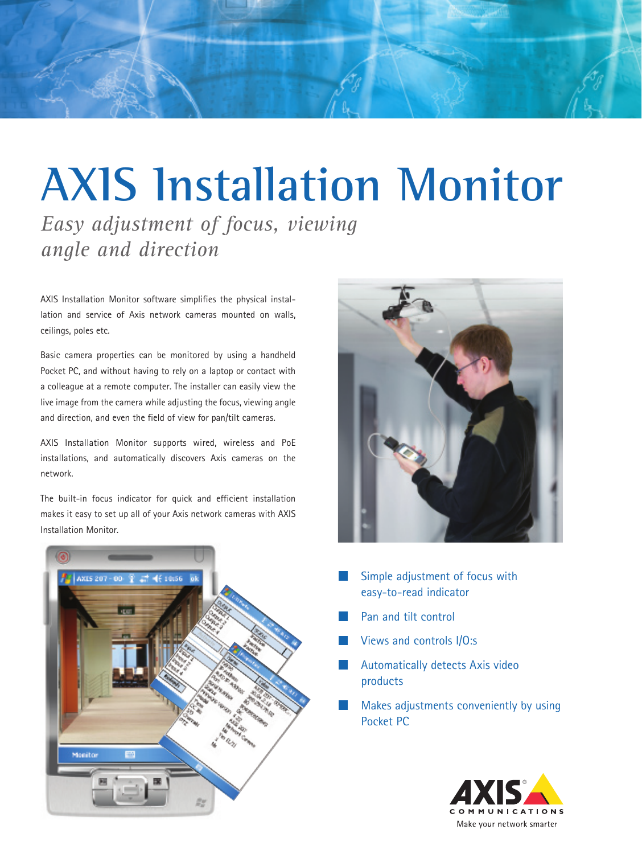

# **AXIS Installation Monitor**

*Easy adjustment of focus, viewing angle and direction*

AXIS Installation Monitor software simplifies the physical installation and service of Axis network cameras mounted on walls, ceilings, poles etc.

Basic camera properties can be monitored by using a handheld Pocket PC, and without having to rely on a laptop or contact with a colleague at a remote computer. The installer can easily view the live image from the camera while adjusting the focus, viewing angle and direction, and even the field of view for pan/tilt cameras.

AXIS Installation Monitor supports wired, wireless and PoE installations, and automatically discovers Axis cameras on the network.

The built-in focus indicator for quick and efficient installation makes it easy to set up all of your Axis network cameras with AXIS Installation Monitor.





- Simple adjustment of focus with easy-to-read indicator
- Pan and tilt control
- Views and controls I/O:s
- Automatically detects Axis video products
- Makes adjustments conveniently by using Pocket PC